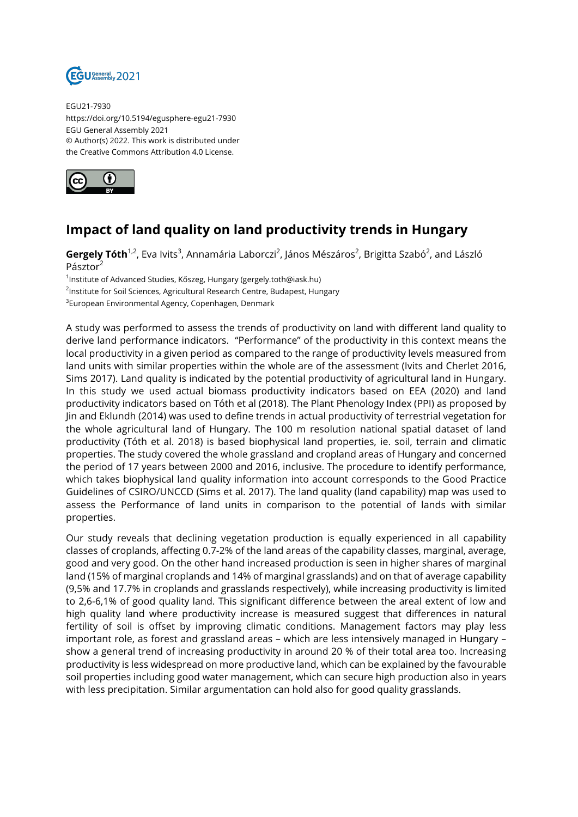

EGU21-7930 https://doi.org/10.5194/egusphere-egu21-7930 EGU General Assembly 2021 © Author(s) 2022. This work is distributed under the Creative Commons Attribution 4.0 License.



## **Impact of land quality on land productivity trends in Hungary**

**Gergely Tóth**<sup>1,2</sup>, Eva Ivits<sup>3</sup>, Annamária Laborczi<sup>2</sup>, János Mészáros<sup>2</sup>, Brigitta Szabó<sup>2</sup>, and László Pásztor

1 Institute of Advanced Studies, Kőszeg, Hungary (gergely.toth@iask.hu)

<sup>2</sup>Institute for Soil Sciences, Agricultural Research Centre, Budapest, Hungary

 $^3$ European Environmental Agency, Copenhagen, Denmark

A study was performed to assess the trends of productivity on land with different land quality to derive land performance indicators. "Performance" of the productivity in this context means the local productivity in a given period as compared to the range of productivity levels measured from land units with similar properties within the whole are of the assessment (Ivits and Cherlet 2016, Sims 2017). Land quality is indicated by the potential productivity of agricultural land in Hungary. In this study we used actual biomass productivity indicators based on EEA (2020) and land productivity indicators based on Tóth et al (2018). The Plant Phenology Index (PPI) as proposed by Jin and Eklundh (2014) was used to define trends in actual productivity of terrestrial vegetation for the whole agricultural land of Hungary. The 100 m resolution national spatial dataset of land productivity (Tóth et al. 2018) is based biophysical land properties, ie. soil, terrain and climatic properties. The study covered the whole grassland and cropland areas of Hungary and concerned the period of 17 years between 2000 and 2016, inclusive. The procedure to identify performance, which takes biophysical land quality information into account corresponds to the Good Practice Guidelines of CSIRO/UNCCD (Sims et al. 2017). The land quality (land capability) map was used to assess the Performance of land units in comparison to the potential of lands with similar properties.

Our study reveals that declining vegetation production is equally experienced in all capability classes of croplands, affecting 0.7-2% of the land areas of the capability classes, marginal, average, good and very good. On the other hand increased production is seen in higher shares of marginal land (15% of marginal croplands and 14% of marginal grasslands) and on that of average capability (9,5% and 17.7% in croplands and grasslands respectively), while increasing productivity is limited to 2,6-6,1% of good quality land. This significant difference between the areal extent of low and high quality land where productivity increase is measured suggest that differences in natural fertility of soil is offset by improving climatic conditions. Management factors may play less important role, as forest and grassland areas – which are less intensively managed in Hungary – show a general trend of increasing productivity in around 20 % of their total area too. Increasing productivity is less widespread on more productive land, which can be explained by the favourable soil properties including good water management, which can secure high production also in years with less precipitation. Similar argumentation can hold also for good quality grasslands.